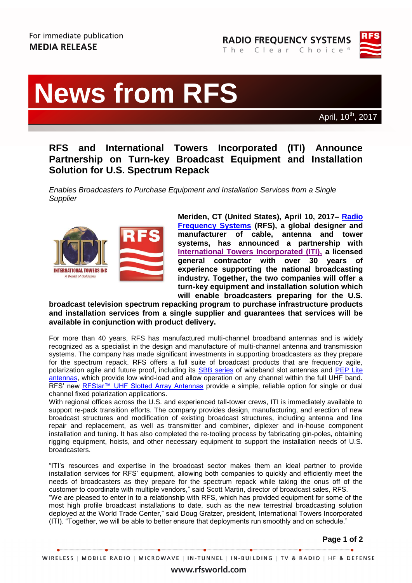



# **News from RFS News from RFS**

**IBC, RAI Amsterdam, Hall 8, Booth B34 10-14 September 2010** April, 10th, 2017

# **RFS and International Towers Incorporated (ITI) Announce Partnership on Turn-key Broadcast Equipment and Installation Solution for U.S. Spectrum Repack**

*Enables Broadcasters to Purchase Equipment and Installation Services from a Single Supplier*



**Meriden, CT (United States), April 10, 2017– [Radio](http://www.rfsworld.com/)  [Frequency Systems](http://www.rfsworld.com/) (RFS), a global designer and manufacturer of cable, antenna and tower systems, has announced a partnership with [International Towers Incorporated \(ITI\),](http://www.itowersinc.com/) a licensed general contractor with over 30 years of experience supporting the national broadcasting industry. Together, the two companies will offer a turn-key equipment and installation solution which will enable broadcasters preparing for the U.S.** 

**broadcast television spectrum repacking program to purchase infrastructure products and installation services from a single supplier and guarantees that services will be available in conjunction with product delivery.** 

For more than 40 years, RFS has manufactured multi-channel broadband antennas and is widely recognized as a specialist in the design and manufacture of multi-channel antenna and transmission systems. The company has made significant investments in supporting broadcasters as they prepare for the spectrum repack. RFS offers a full suite of broadcast products that are frequency agile, polarization agile and future proof, including its **SBB series** of wideband slot antennas and PEP Lite [antennas,](http://www.rfsworld.com/pep-lite-antenna-series-for-broadcast-applications,306,1,promoted_product,86.html) which provide low wind-load and allow operation on any channel within the full UHF band. RFS' new RFStar<sup>™</sup> UHF Slotted Array Antennas provide a simple, reliable option for single or dual channel fixed polarization applications.

With regional offices across the U.S. and experienced tall-tower crews, ITI is immediately available to support re-pack transition efforts. The company provides design, manufacturing, and erection of new broadcast structures and modification of existing broadcast structures, including antenna and line repair and replacement, as well as transmitter and combiner, diplexer and in-house component installation and tuning. It has also completed the re-tooling process by fabricating gin-poles, obtaining rigging equipment, hoists, and other necessary equipment to support the installation needs of U.S. broadcasters.

"ITI's resources and expertise in the broadcast sector makes them an ideal partner to provide installation services for RFS' equipment, allowing both companies to quickly and efficiently meet the needs of broadcasters as they prepare for the spectrum repack while taking the onus off of the customer to coordinate with multiple vendors," said Scott Martin, director of broadcast sales, RFS. "We are pleased to enter in to a relationship with RFS, which has provided equipment for some of the most high profile broadcast installations to date, such as the new terrestrial broadcasting solution deployed at the World Trade Center," said Doug Gratzer, president, International Towers Incorporated (ITI). "Together, we will be able to better ensure that deployments run smoothly and on schedule."

**Page 1 of 2**

## www.rfsworld.com